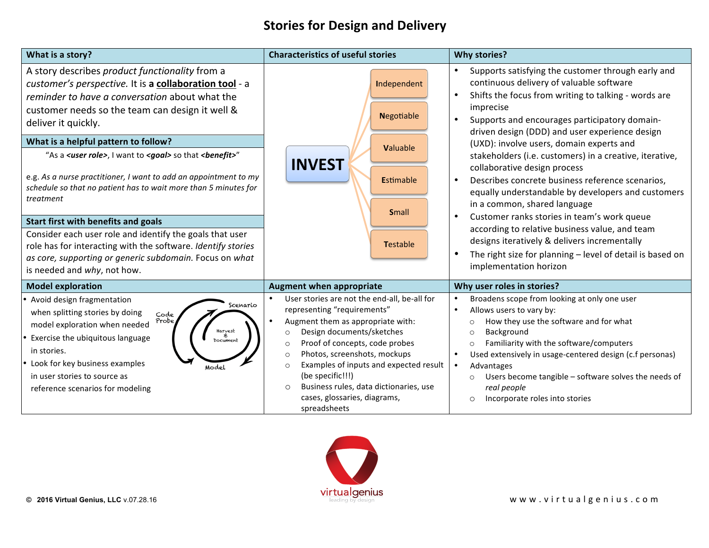## **Stories for Design and Delivery**

| What is a story?                                                                                                                                                                                                                                                                                                              | <b>Characteristics of useful stories</b>                                                                                                                                                                                                                                                                                                                                                                                        | <b>Why stories?</b>                                                                                                                                                                                                                                                                                                                                                                                                                                                       |
|-------------------------------------------------------------------------------------------------------------------------------------------------------------------------------------------------------------------------------------------------------------------------------------------------------------------------------|---------------------------------------------------------------------------------------------------------------------------------------------------------------------------------------------------------------------------------------------------------------------------------------------------------------------------------------------------------------------------------------------------------------------------------|---------------------------------------------------------------------------------------------------------------------------------------------------------------------------------------------------------------------------------------------------------------------------------------------------------------------------------------------------------------------------------------------------------------------------------------------------------------------------|
| A story describes product functionality from a<br>customer's perspective. It is a collaboration tool - a<br>reminder to have a conversation about what the                                                                                                                                                                    | Independent                                                                                                                                                                                                                                                                                                                                                                                                                     | Supports satisfying the customer through early and<br>continuous delivery of valuable software<br>Shifts the focus from writing to talking - words are                                                                                                                                                                                                                                                                                                                    |
| customer needs so the team can design it well &<br>deliver it quickly.                                                                                                                                                                                                                                                        | <b>Negotiable</b>                                                                                                                                                                                                                                                                                                                                                                                                               | imprecise<br>Supports and encourages participatory domain-<br>driven design (DDD) and user experience design                                                                                                                                                                                                                                                                                                                                                              |
| What is a helpful pattern to follow?                                                                                                                                                                                                                                                                                          | Valuable                                                                                                                                                                                                                                                                                                                                                                                                                        | (UXD): involve users, domain experts and                                                                                                                                                                                                                                                                                                                                                                                                                                  |
| "As a <i><user role=""></user></i> , I want to <i><goal></goal></i> so that <i><benefit>"</benefit></i><br>e.g. As a nurse practitioner, I want to add an appointment to my<br>schedule so that no patient has to wait more than 5 minutes for                                                                                | <b>INVEST</b><br><b>Estimable</b>                                                                                                                                                                                                                                                                                                                                                                                               | stakeholders (i.e. customers) in a creative, iterative,<br>collaborative design process<br>Describes concrete business reference scenarios,<br>$\bullet$                                                                                                                                                                                                                                                                                                                  |
| treatment                                                                                                                                                                                                                                                                                                                     |                                                                                                                                                                                                                                                                                                                                                                                                                                 | equally understandable by developers and customers<br>in a common, shared language                                                                                                                                                                                                                                                                                                                                                                                        |
| Start first with benefits and goals                                                                                                                                                                                                                                                                                           | <b>Small</b>                                                                                                                                                                                                                                                                                                                                                                                                                    | Customer ranks stories in team's work queue                                                                                                                                                                                                                                                                                                                                                                                                                               |
| Consider each user role and identify the goals that user                                                                                                                                                                                                                                                                      |                                                                                                                                                                                                                                                                                                                                                                                                                                 | according to relative business value, and team<br>designs iteratively & delivers incrementally                                                                                                                                                                                                                                                                                                                                                                            |
| role has for interacting with the software. Identify stories                                                                                                                                                                                                                                                                  | <b>Testable</b>                                                                                                                                                                                                                                                                                                                                                                                                                 | The right size for planning - level of detail is based on                                                                                                                                                                                                                                                                                                                                                                                                                 |
| as core, supporting or generic subdomain. Focus on what<br>is needed and why, not how.                                                                                                                                                                                                                                        |                                                                                                                                                                                                                                                                                                                                                                                                                                 | implementation horizon                                                                                                                                                                                                                                                                                                                                                                                                                                                    |
| <b>Model exploration</b>                                                                                                                                                                                                                                                                                                      | <b>Augment when appropriate</b>                                                                                                                                                                                                                                                                                                                                                                                                 | Why user roles in stories?                                                                                                                                                                                                                                                                                                                                                                                                                                                |
| • Avoid design fragmentation<br>Scenario<br>when splitting stories by doing<br>Code<br>Probe<br>model exploration when needed<br>Harvest<br>#<br>Exercise the ubiquitous language<br>Document<br>in stories.<br>• Look for key business examples<br>Model<br>in user stories to source as<br>reference scenarios for modeling | User stories are not the end-all, be-all for<br>representing "requirements"<br>Augment them as appropriate with:<br>Design documents/sketches<br>$\circ$<br>Proof of concepts, code probes<br>$\circ$<br>Photos, screenshots, mockups<br>$\circ$<br>Examples of inputs and expected result<br>$\Omega$<br>(be specific!!!)<br>Business rules, data dictionaries, use<br>$\circ$<br>cases, glossaries, diagrams,<br>spreadsheets | Broadens scope from looking at only one user<br>$\bullet$<br>Allows users to vary by:<br>$\bullet$<br>How they use the software and for what<br>$\circ$<br>Background<br>$\circ$<br>Familiarity with the software/computers<br>$\circ$<br>Used extensively in usage-centered design (c.f personas)<br>$\bullet$<br>$\bullet$<br>Advantages<br>Users become tangible - software solves the needs of<br>$\circ$<br>real people<br>Incorporate roles into stories<br>$\circ$ |